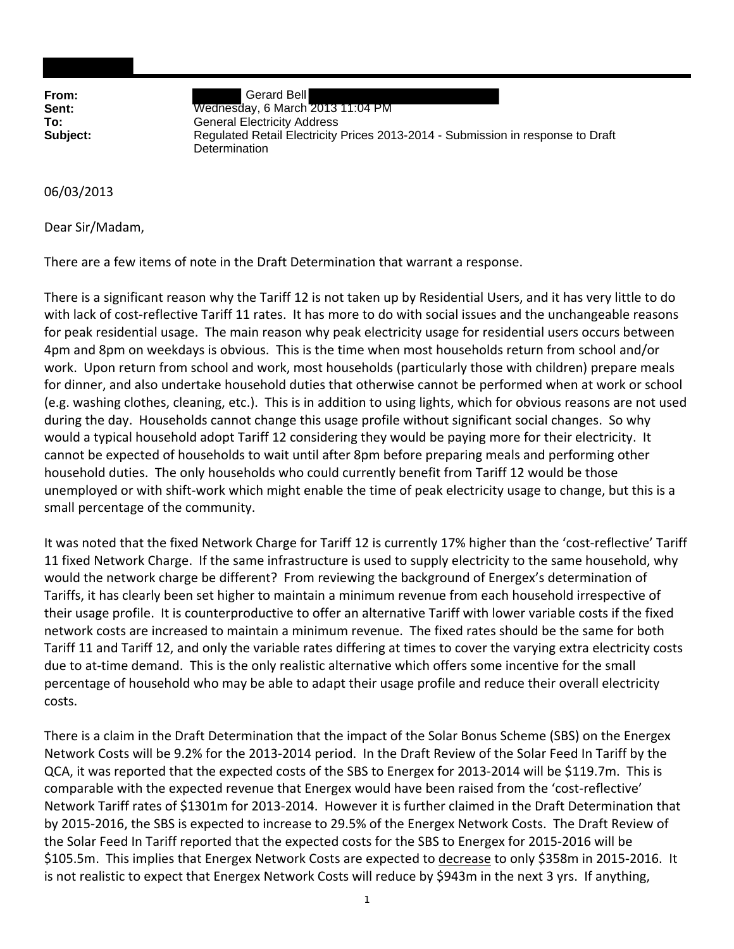**From:** Gerard Bell **Sent:** Wednesday, 6 March 2013 11:04 PM **To:** General Electricity Address **Subject:** Regulated Retail Electricity Prices 2013-2014 - Submission in response to Draft Determination

06/03/2013

Dear Sir/Madam,

There are a few items of note in the Draft Determination that warrant a response.

There is a significant reason why the Tariff 12 is not taken up by Residential Users, and it has very little to do with lack of cost-reflective Tariff 11 rates. It has more to do with social issues and the unchangeable reasons for peak residential usage. The main reason why peak electricity usage for residential users occurs between 4pm and 8pm on weekdays is obvious. This is the time when most households return from school and/or work. Upon return from school and work, most households (particularly those with children) prepare meals for dinner, and also undertake household duties that otherwise cannot be performed when at work or school (e.g. washing clothes, cleaning, etc.). This is in addition to using lights, which for obvious reasons are not used during the day. Households cannot change this usage profile without significant social changes. So why would a typical household adopt Tariff 12 considering they would be paying more for their electricity. It cannot be expected of households to wait until after 8pm before preparing meals and performing other household duties. The only households who could currently benefit from Tariff 12 would be those unemployed or with shift-work which might enable the time of peak electricity usage to change, but this is a small percentage of the community.

It was noted that the fixed Network Charge for Tariff 12 is currently 17% higher than the 'cost-reflective' Tariff 11 fixed Network Charge. If the same infrastructure is used to supply electricity to the same household, why would the network charge be different? From reviewing the background of Energex's determination of Tariffs, it has clearly been set higher to maintain a minimum revenue from each household irrespective of their usage profile. It is counterproductive to offer an alternative Tariff with lower variable costs if the fixed network costs are increased to maintain a minimum revenue. The fixed rates should be the same for both Tariff 11 and Tariff 12, and only the variable rates differing at times to cover the varying extra electricity costs due to at-time demand. This is the only realistic alternative which offers some incentive for the small percentage of household who may be able to adapt their usage profile and reduce their overall electricity costs.

There is a claim in the Draft Determination that the impact of the Solar Bonus Scheme (SBS) on the Energex Network Costs will be 9.2% for the 2013‐2014 period. In the Draft Review of the Solar Feed In Tariff by the QCA, it was reported that the expected costs of the SBS to Energex for 2013‐2014 will be \$119.7m. This is comparable with the expected revenue that Energex would have been raised from the 'cost-reflective' Network Tariff rates of \$1301m for 2013‐2014. However it is further claimed in the Draft Determination that by 2015‐2016, the SBS is expected to increase to 29.5% of the Energex Network Costs. The Draft Review of the Solar Feed In Tariff reported that the expected costs for the SBS to Energex for 2015‐2016 will be \$105.5m. This implies that Energex Network Costs are expected to decrease to only \$358m in 2015‐2016. It is not realistic to expect that Energex Network Costs will reduce by \$943m in the next 3 yrs. If anything,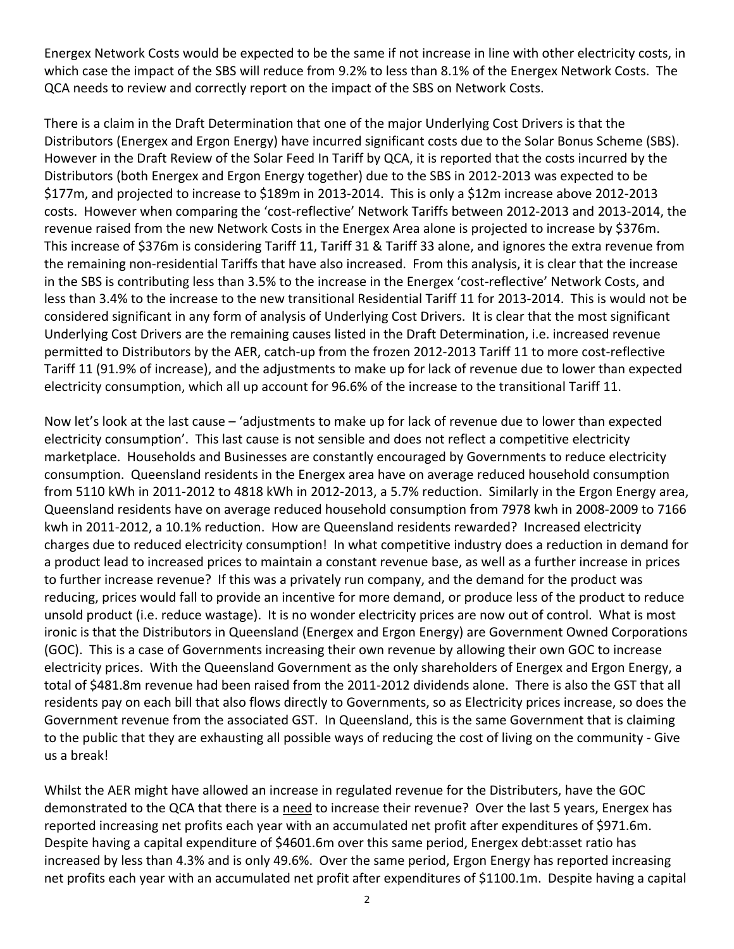Energex Network Costs would be expected to be the same if not increase in line with other electricity costs, in which case the impact of the SBS will reduce from 9.2% to less than 8.1% of the Energex Network Costs. The QCA needs to review and correctly report on the impact of the SBS on Network Costs.

There is a claim in the Draft Determination that one of the major Underlying Cost Drivers is that the Distributors (Energex and Ergon Energy) have incurred significant costs due to the Solar Bonus Scheme (SBS). However in the Draft Review of the Solar Feed In Tariff by QCA, it is reported that the costs incurred by the Distributors (both Energex and Ergon Energy together) due to the SBS in 2012‐2013 was expected to be \$177m, and projected to increase to \$189m in 2013‐2014. This is only a \$12m increase above 2012‐2013 costs. However when comparing the 'cost‐reflective' Network Tariffs between 2012‐2013 and 2013‐2014, the revenue raised from the new Network Costs in the Energex Area alone is projected to increase by \$376m. This increase of \$376m is considering Tariff 11, Tariff 31 & Tariff 33 alone, and ignores the extra revenue from the remaining non‐residential Tariffs that have also increased. From this analysis, it is clear that the increase in the SBS is contributing less than 3.5% to the increase in the Energex 'cost‐reflective' Network Costs, and less than 3.4% to the increase to the new transitional Residential Tariff 11 for 2013-2014. This is would not be considered significant in any form of analysis of Underlying Cost Drivers. It is clear that the most significant Underlying Cost Drivers are the remaining causes listed in the Draft Determination, i.e. increased revenue permitted to Distributors by the AER, catch-up from the frozen 2012-2013 Tariff 11 to more cost-reflective Tariff 11 (91.9% of increase), and the adjustments to make up for lack of revenue due to lower than expected electricity consumption, which all up account for 96.6% of the increase to the transitional Tariff 11.

Now let's look at the last cause – 'adjustments to make up for lack of revenue due to lower than expected electricity consumption'. This last cause is not sensible and does not reflect a competitive electricity marketplace. Households and Businesses are constantly encouraged by Governments to reduce electricity consumption. Queensland residents in the Energex area have on average reduced household consumption from 5110 kWh in 2011‐2012 to 4818 kWh in 2012‐2013, a 5.7% reduction. Similarly in the Ergon Energy area, Queensland residents have on average reduced household consumption from 7978 kwh in 2008‐2009 to 7166 kwh in 2011‐2012, a 10.1% reduction. How are Queensland residents rewarded? Increased electricity charges due to reduced electricity consumption! In what competitive industry does a reduction in demand for a product lead to increased prices to maintain a constant revenue base, as well as a further increase in prices to further increase revenue? If this was a privately run company, and the demand for the product was reducing, prices would fall to provide an incentive for more demand, or produce less of the product to reduce unsold product (i.e. reduce wastage). It is no wonder electricity prices are now out of control. What is most ironic is that the Distributors in Queensland (Energex and Ergon Energy) are Government Owned Corporations (GOC). This is a case of Governments increasing their own revenue by allowing their own GOC to increase electricity prices. With the Queensland Government as the only shareholders of Energex and Ergon Energy, a total of \$481.8m revenue had been raised from the 2011‐2012 dividends alone. There is also the GST that all residents pay on each bill that also flows directly to Governments, so as Electricity prices increase, so does the Government revenue from the associated GST. In Queensland, this is the same Government that is claiming to the public that they are exhausting all possible ways of reducing the cost of living on the community ‐ Give us a break!

Whilst the AER might have allowed an increase in regulated revenue for the Distributers, have the GOC demonstrated to the QCA that there is a need to increase their revenue? Over the last 5 years, Energex has reported increasing net profits each year with an accumulated net profit after expenditures of \$971.6m. Despite having a capital expenditure of \$4601.6m over this same period, Energex debt:asset ratio has increased by less than 4.3% and is only 49.6%. Over the same period, Ergon Energy has reported increasing net profits each year with an accumulated net profit after expenditures of \$1100.1m. Despite having a capital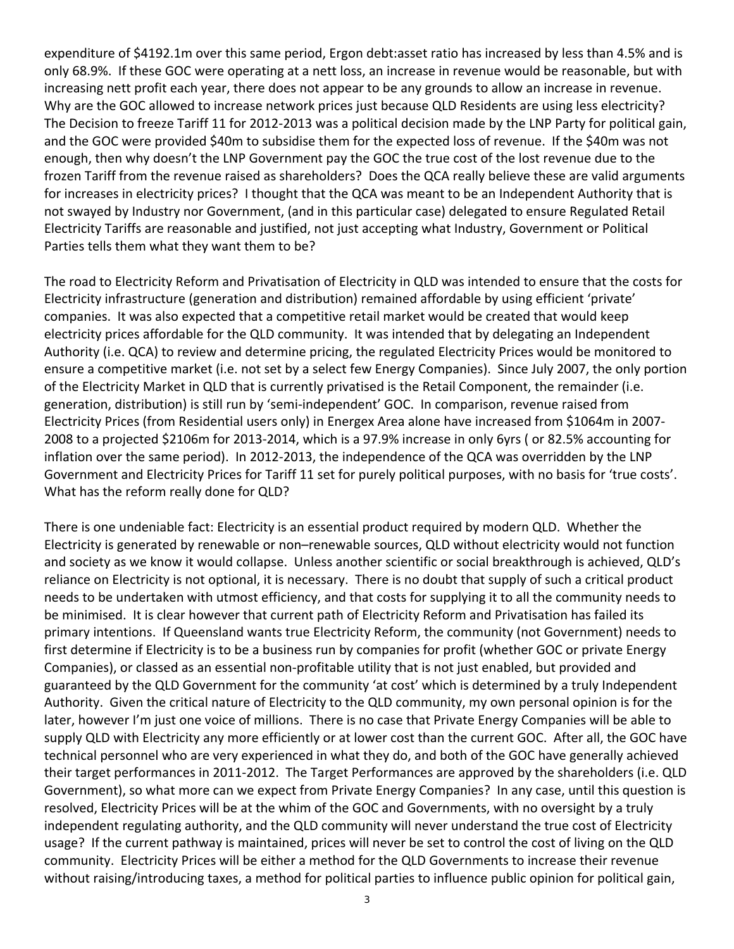expenditure of \$4192.1m over this same period, Ergon debt:asset ratio has increased by less than 4.5% and is only 68.9%. If these GOC were operating at a nett loss, an increase in revenue would be reasonable, but with increasing nett profit each year, there does not appear to be any grounds to allow an increase in revenue. Why are the GOC allowed to increase network prices just because QLD Residents are using less electricity? The Decision to freeze Tariff 11 for 2012‐2013 was a political decision made by the LNP Party for political gain, and the GOC were provided \$40m to subsidise them for the expected loss of revenue. If the \$40m was not enough, then why doesn't the LNP Government pay the GOC the true cost of the lost revenue due to the frozen Tariff from the revenue raised as shareholders? Does the QCA really believe these are valid arguments for increases in electricity prices? I thought that the QCA was meant to be an Independent Authority that is not swayed by Industry nor Government, (and in this particular case) delegated to ensure Regulated Retail Electricity Tariffs are reasonable and justified, not just accepting what Industry, Government or Political Parties tells them what they want them to be?

The road to Electricity Reform and Privatisation of Electricity in QLD was intended to ensure that the costs for Electricity infrastructure (generation and distribution) remained affordable by using efficient 'private' companies. It was also expected that a competitive retail market would be created that would keep electricity prices affordable for the QLD community. It was intended that by delegating an Independent Authority (i.e. QCA) to review and determine pricing, the regulated Electricity Prices would be monitored to ensure a competitive market (i.e. not set by a select few Energy Companies). Since July 2007, the only portion of the Electricity Market in QLD that is currently privatised is the Retail Component, the remainder (i.e. generation, distribution) is still run by 'semi‐independent' GOC. In comparison, revenue raised from Electricity Prices (from Residential users only) in Energex Area alone have increased from \$1064m in 2007‐ 2008 to a projected \$2106m for 2013‐2014, which is a 97.9% increase in only 6yrs ( or 82.5% accounting for inflation over the same period). In 2012‐2013, the independence of the QCA was overridden by the LNP Government and Electricity Prices for Tariff 11 set for purely political purposes, with no basis for 'true costs'. What has the reform really done for QLD?

There is one undeniable fact: Electricity is an essential product required by modern QLD. Whether the Electricity is generated by renewable or non–renewable sources, QLD without electricity would not function and society as we know it would collapse. Unless another scientific or social breakthrough is achieved, QLD's reliance on Electricity is not optional, it is necessary. There is no doubt that supply of such a critical product needs to be undertaken with utmost efficiency, and that costs for supplying it to all the community needs to be minimised. It is clear however that current path of Electricity Reform and Privatisation has failed its primary intentions. If Queensland wants true Electricity Reform, the community (not Government) needs to first determine if Electricity is to be a business run by companies for profit (whether GOC or private Energy Companies), or classed as an essential non‐profitable utility that is not just enabled, but provided and guaranteed by the QLD Government for the community 'at cost' which is determined by a truly Independent Authority. Given the critical nature of Electricity to the QLD community, my own personal opinion is for the later, however I'm just one voice of millions. There is no case that Private Energy Companies will be able to supply QLD with Electricity any more efficiently or at lower cost than the current GOC. After all, the GOC have technical personnel who are very experienced in what they do, and both of the GOC have generally achieved their target performances in 2011‐2012. The Target Performances are approved by the shareholders (i.e. QLD Government), so what more can we expect from Private Energy Companies? In any case, until this question is resolved, Electricity Prices will be at the whim of the GOC and Governments, with no oversight by a truly independent regulating authority, and the QLD community will never understand the true cost of Electricity usage? If the current pathway is maintained, prices will never be set to control the cost of living on the QLD community. Electricity Prices will be either a method for the QLD Governments to increase their revenue without raising/introducing taxes, a method for political parties to influence public opinion for political gain,